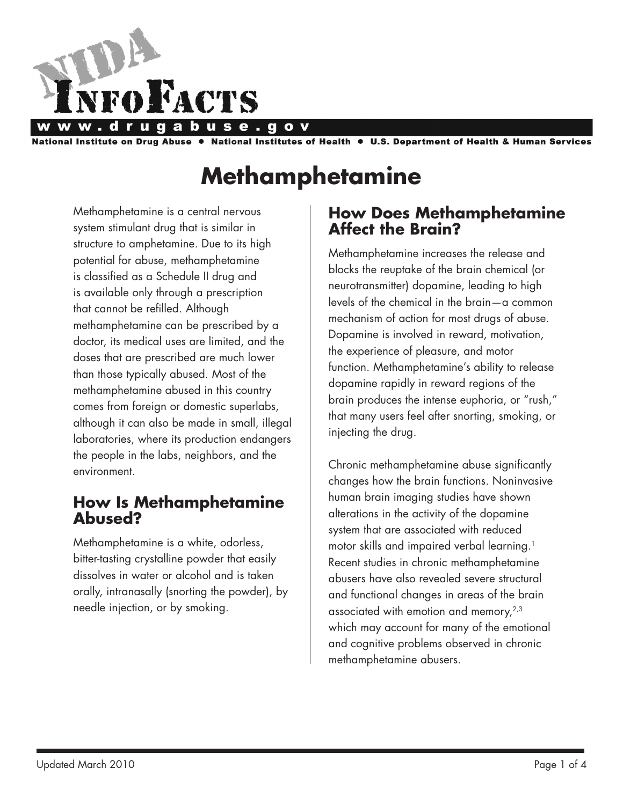

National Institute on Drug Abuse ● National Institutes of Health ● U.S. Department of Health & Human Services

# **Methamphetamine**

Methamphetamine is a central nervous system stimulant drug that is similar in structure to amphetamine. Due to its high potential for abuse, methamphetamine is classified as a Schedule II drug and is available only through a prescription that cannot be refilled. Although methamphetamine can be prescribed by a doctor, its medical uses are limited, and the doses that are prescribed are much lower than those typically abused. Most of the methamphetamine abused in this country comes from foreign or domestic superlabs, although it can also be made in small, illegal laboratories, where its production endangers the people in the labs, neighbors, and the environment.

## **How Is Methamphetamine Abused?**

Methamphetamine is a white, odorless, bitter-tasting crystalline powder that easily dissolves in water or alcohol and is taken orally, intranasally (snorting the powder), by needle injection, or by smoking.

## **How Does Methamphetamine Affect the Brain?**

Methamphetamine increases the release and blocks the reuptake of the brain chemical (or neurotransmitter) dopamine, leading to high levels of the chemical in the brain—a common mechanism of action for most drugs of abuse. Dopamine is involved in reward, motivation, the experience of pleasure, and motor function. Methamphetamine's ability to release dopamine rapidly in reward regions of the brain produces the intense euphoria, or "rush," that many users feel after snorting, smoking, or injecting the drug.

Chronic methamphetamine abuse significantly changes how the brain functions. Noninvasive human brain imaging studies have shown alterations in the activity of the dopamine system that are associated with reduced motor skills and impaired verbal learning.<sup>1</sup> Recent studies in chronic methamphetamine abusers have also revealed severe structural and functional changes in areas of the brain associated with emotion and memory,  $2,3$ which may account for many of the emotional and cognitive problems observed in chronic methamphetamine abusers.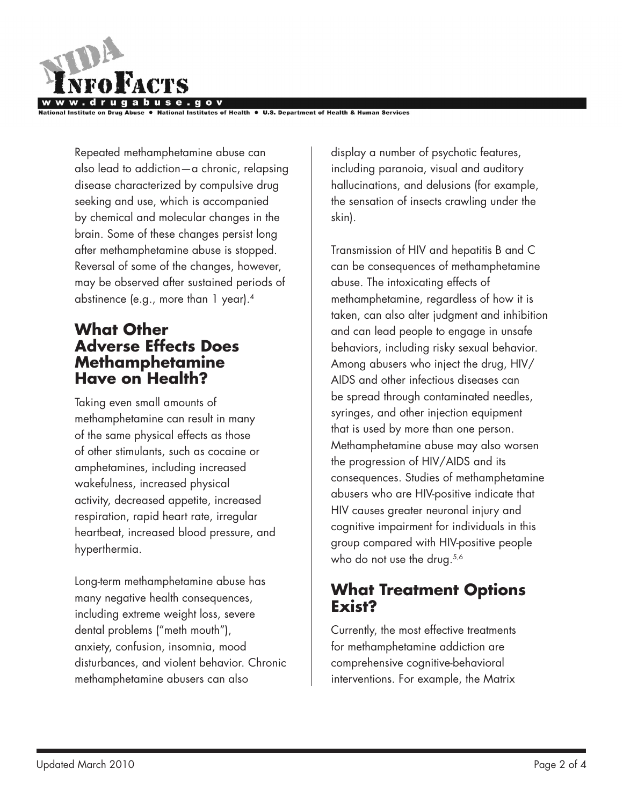

stitutes of Health ● U.S. Department of Health & Human Services

Repeated methamphetamine abuse can also lead to addiction—a chronic, relapsing disease characterized by compulsive drug seeking and use, which is accompanied by chemical and molecular changes in the brain. Some of these changes persist long after methamphetamine abuse is stopped. Reversal of some of the changes, however, may be observed after sustained periods of abstinence (e.g., more than 1 year).4

## **What Other Adverse Effects Does Methamphetamine Have on Health?**

Taking even small amounts of methamphetamine can result in many of the same physical effects as those of other stimulants, such as cocaine or amphetamines, including increased wakefulness, increased physical activity, decreased appetite, increased respiration, rapid heart rate, irregular heartbeat, increased blood pressure, and hyperthermia.

Long-term methamphetamine abuse has many negative health consequences, including extreme weight loss, severe dental problems ("meth mouth"), anxiety, confusion, insomnia, mood disturbances, and violent behavior. Chronic methamphetamine abusers can also

display a number of psychotic features, including paranoia, visual and auditory hallucinations, and delusions (for example, the sensation of insects crawling under the skin).

Transmission of HIV and hepatitis B and C can be consequences of methamphetamine abuse. The intoxicating effects of methamphetamine, regardless of how it is taken, can also alter judgment and inhibition and can lead people to engage in unsafe behaviors, including risky sexual behavior. Among abusers who inject the drug, HIV/ AIDS and other infectious diseases can be spread through contaminated needles, syringes, and other injection equipment that is used by more than one person. Methamphetamine abuse may also worsen the progression of HIV/AIDS and its consequences. Studies of methamphetamine abusers who are HIV-positive indicate that HIV causes greater neuronal injury and cognitive impairment for individuals in this group compared with HIV-positive people who do not use the drug.<sup>5,6</sup>

# **What Treatment Options Exist?**

Currently, the most effective treatments for methamphetamine addiction are comprehensive cognitive-behavioral interventions. For example, the Matrix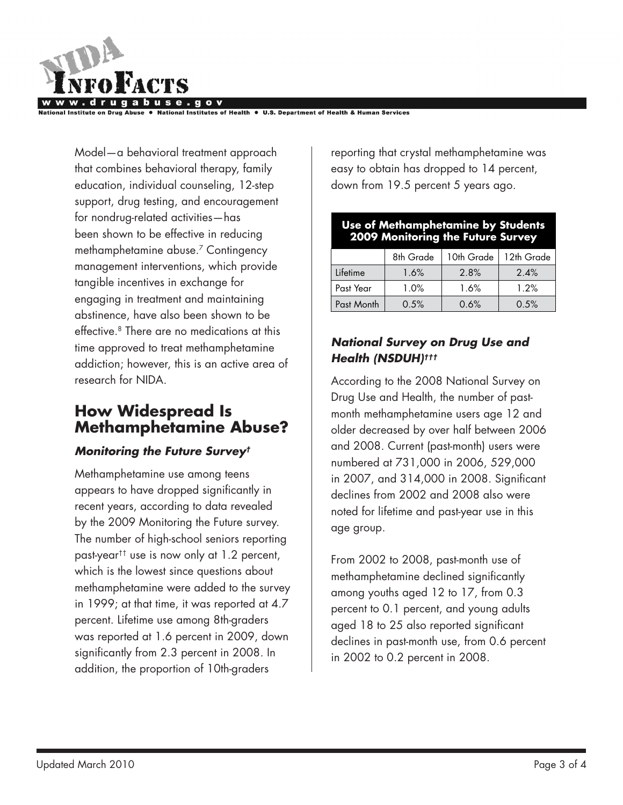

National Institutes of Health . U.S. Department of Health & Human Services

Model—a behavioral treatment approach that combines behavioral therapy, family education, individual counseling, 12-step support, drug testing, and encouragement for nondrug-related activities—has been shown to be effective in reducing methamphetamine abuse.<sup>7</sup> Contingency management interventions, which provide tangible incentives in exchange for engaging in treatment and maintaining abstinence, have also been shown to be effective.8 There are no medications at this time approved to treat methamphetamine addiction; however, this is an active area of research for NIDA.

## **How Widespread Is Methamphetamine Abuse?**

#### *Monitoring the Future Survey†*

Methamphetamine use among teens appears to have dropped significantly in recent years, according to data revealed by the 2009 Monitoring the Future survey. The number of high-school seniors reporting past-year†† use is now only at 1.2 percent, which is the lowest since questions about methamphetamine were added to the survey in 1999; at that time, it was reported at 4.7 percent. Lifetime use among 8th-graders was reported at 1.6 percent in 2009, down significantly from 2.3 percent in 2008. In addition, the proportion of 10th-graders

reporting that crystal methamphetamine was easy to obtain has dropped to 14 percent, down from 19.5 percent 5 years ago.

| Use of Methamphetamine by Students<br>2009 Monitoring the Future Survey |           |            |            |
|-------------------------------------------------------------------------|-----------|------------|------------|
|                                                                         | 8th Grade | 10th Grade | 12th Grade |
| Lifetime                                                                | 1.6%      | 2.8%       | 2.4%       |
| Past Year                                                               | 1.0%      | 1.6%       | 1.2%       |
| Past Month                                                              | 0.5%      | 0.6%       | 0.5%       |

### *National Survey on Drug Use and Health (NSDUH)†††*

According to the 2008 National Survey on Drug Use and Health, the number of pastmonth methamphetamine users age 12 and older decreased by over half between 2006 and 2008. Current (past-month) users were numbered at 731,000 in 2006, 529,000 in 2007, and 314,000 in 2008. Significant declines from 2002 and 2008 also were noted for lifetime and past-year use in this age group.

From 2002 to 2008, past-month use of methamphetamine declined significantly among youths aged 12 to 17, from 0.3 percent to 0.1 percent, and young adults aged 18 to 25 also reported significant declines in past-month use, from 0.6 percent in 2002 to 0.2 percent in 2008.